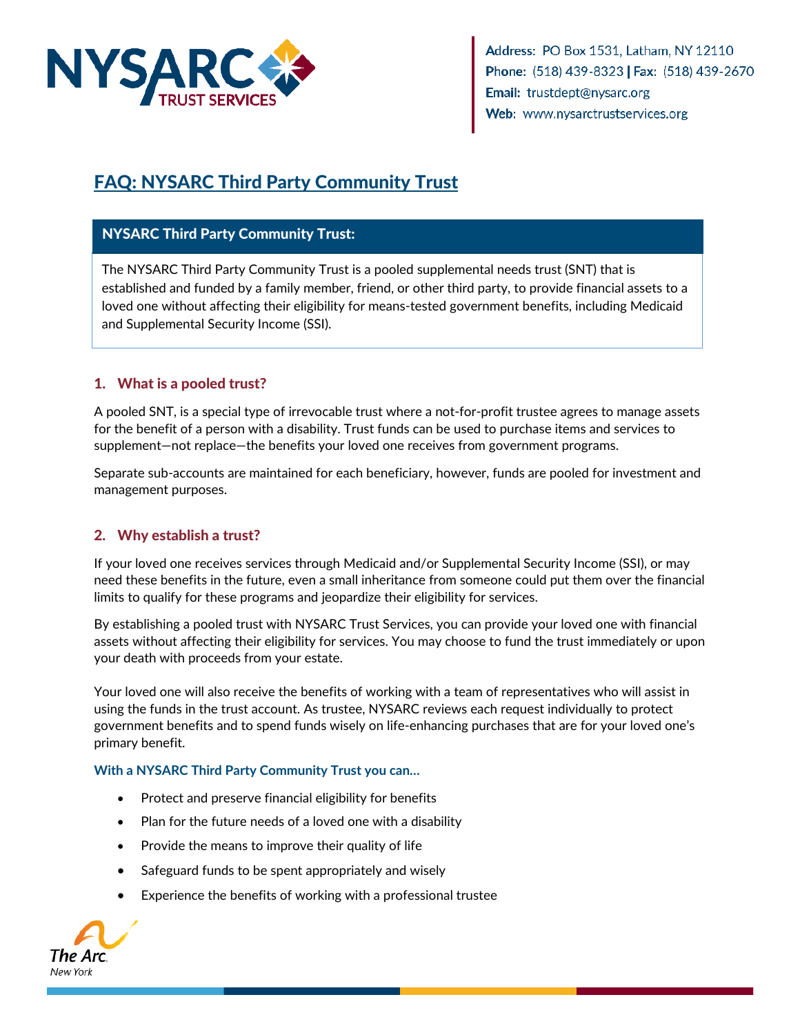

Address: PO Box 1531, Latham, NY 12110 Phone: (518) 439-8323 | Fax: (518) 439-2670 Email: trustdept@nysarc.org Web: www.nysarctrustservices.org

# FAQ: NYSARC Third Party Community Trust

## NYSARC Third Party Community Trust:

The NYSARC Third Party Community Trust is a pooled supplemental needs trust (SNT) that is established and funded by a family member, friend, or other third party, to provide financial assets to a loved one without affecting their eligibility for means-tested government benefits, including Medicaid and Supplemental Security Income (SSI).

# 1. What is a pooled trust?

A pooled SNT, is a special type of irrevocable trust where a not-for-profit trustee agrees to manage assets for the benefit of a person with a disability. Trust funds can be used to purchase items and services to supplement—not replace—the benefits your loved one receives from government programs.

Separate sub-accounts are maintained for each beneficiary, however, funds are pooled for investment and management purposes.

### 2. Why establish a trust?

If your loved one receives services through Medicaid and/or Supplemental Security Income (SSI), or may need these benefits in the future, even a small inheritance from someone could put them over the financial limits to qualify for these programs and jeopardize their eligibility for services.

By establishing a pooled trust with NYSARC Trust Services, you can provide your loved one with financial assets without affecting their eligibility for services. You may choose to fund the trust immediately or upon your death with proceeds from your estate.

Your loved one will also receive the benefits of working with a team of representatives who will assist in using the funds in the trust account. As trustee, NYSARC reviews each request individually to protect government benefits and to spend funds wisely on life-enhancing purchases that are for your loved one's primary benefit.

#### **With a NYSARC Third Party Community Trust you can…**

- Protect and preserve financial eligibility for benefits
- Plan for the future needs of a loved one with a disability
- Provide the means to improve their quality of life
- Safeguard funds to be spent appropriately and wisely
- Experience the benefits of working with a professional trustee

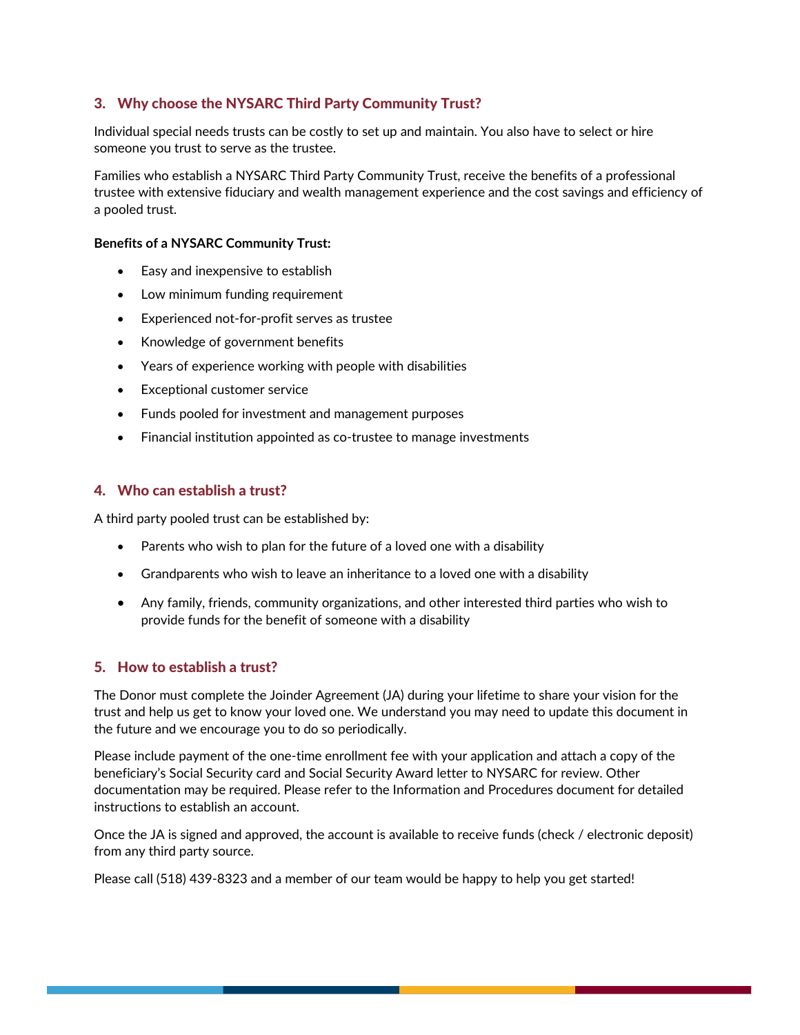#### 3. Why choose the NYSARC Third Party Community Trust?

Individual special needs trusts can be costly to set up and maintain. You also have to select or hire someone you trust to serve as the trustee.

Families who establish a NYSARC Third Party Community Trust, receive the benefits of a professional trustee with extensive fiduciary and wealth management experience and the cost savings and efficiency of a pooled trust.

#### **Benefits of a NYSARC Community Trust:**

- Easy and inexpensive to establish
- Low minimum funding requirement
- Experienced not-for-profit serves as trustee
- Knowledge of government benefits
- Years of experience working with people with disabilities
- Exceptional customer service
- Funds pooled for investment and management purposes
- Financial institution appointed as co-trustee to manage investments

#### 4. Who can establish a trust?

A third party pooled trust can be established by:

- Parents who wish to plan for the future of a loved one with a disability
- Grandparents who wish to leave an inheritance to a loved one with a disability
- Any family, friends, community organizations, and other interested third parties who wish to provide funds for the benefit of someone with a disability

#### 5. How to establish a trust?

The Donor must complete the Joinder Agreement (JA) during your lifetime to share your vision for the trust and help us get to know your loved one. We understand you may need to update this document in the future and we encourage you to do so periodically.

Please include payment of the one-time enrollment fee with your application and attach a copy of the beneficiary's Social Security card and Social Security Award letter to NYSARC for review. Other documentation may be required. Please refer to the Information and Procedures document for detailed instructions to establish an account.

Once the JA is signed and approved, the account is available to receive funds (check / electronic deposit) from any third party source.

Please call (518) 439-8323 and a member of our team would be happy to help you get started!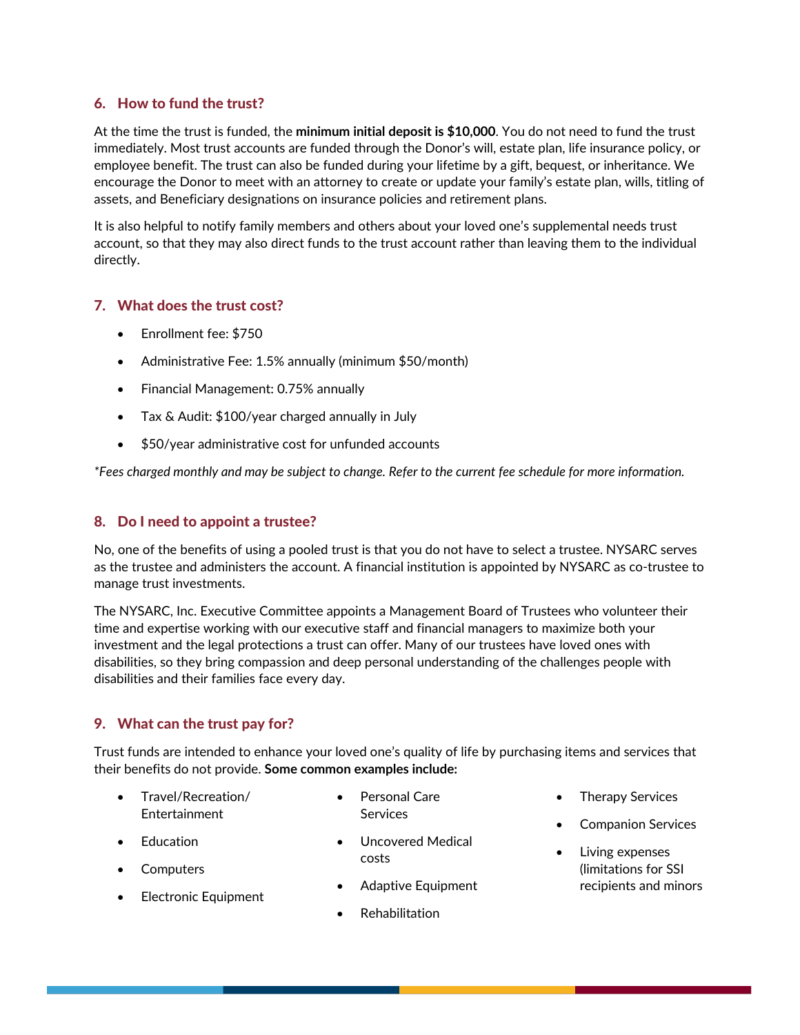#### 6. How to fund the trust?

At the time the trust is funded, the **minimum initial deposit is \$10,000**. You do not need to fund the trust immediately. Most trust accounts are funded through the Donor's will, estate plan, life insurance policy, or employee benefit. The trust can also be funded during your lifetime by a gift, bequest, or inheritance. We encourage the Donor to meet with an attorney to create or update your family's estate plan, wills, titling of assets, and Beneficiary designations on insurance policies and retirement plans.

It is also helpful to notify family members and others about your loved one's supplemental needs trust account, so that they may also direct funds to the trust account rather than leaving them to the individual directly.

#### 7. What does the trust cost?

- Enrollment fee: \$750
- Administrative Fee: 1.5% annually (minimum \$50/month)
- Financial Management: 0.75% annually
- Tax & Audit: \$100/year charged annually in July
- \$50/year administrative cost for unfunded accounts

*\*Fees charged monthly and may be subject to change. Refer to the current fee schedule for more information.*

#### 8. Do I need to appoint a trustee?

No, one of the benefits of using a pooled trust is that you do not have to select a trustee. NYSARC serves as the trustee and administers the account. A financial institution is appointed by NYSARC as co-trustee to manage trust investments.

The NYSARC, Inc. Executive Committee appoints a Management Board of Trustees who volunteer their time and expertise working with our executive staff and financial managers to maximize both your investment and the legal protections a trust can offer. Many of our trustees have loved ones with disabilities, so they bring compassion and deep personal understanding of the challenges people with disabilities and their families face every day.

#### 9. What can the trust pay for?

Trust funds are intended to enhance your loved one's quality of life by purchasing items and services that their benefits do not provide. **Some common examples include:**

- Travel/Recreation/ Entertainment
- Personal Care **Services**
- 
- **Computers**

• Education

- Electronic Equipment
- Uncovered Medical costs
- Adaptive Equipment
- Rehabilitation
- Therapy Services
- Companion Services
- Living expenses (limitations for SSI recipients and minors